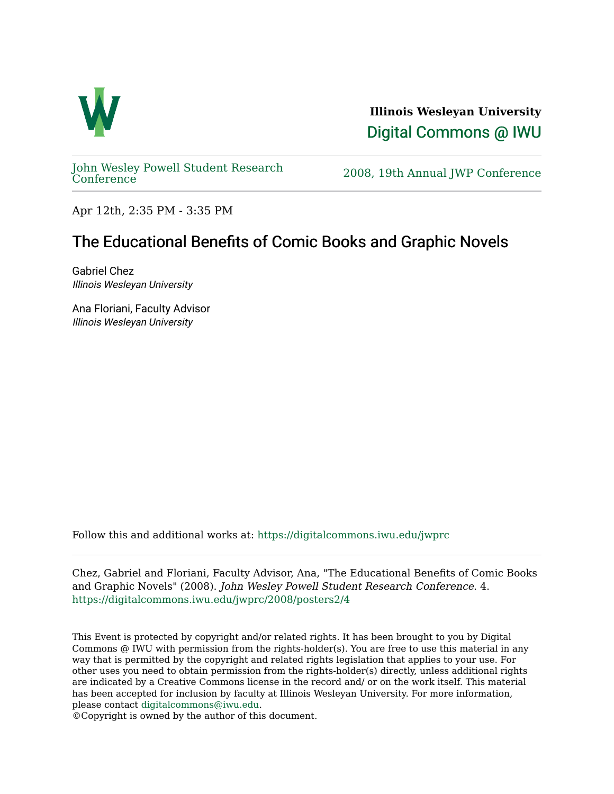

**Illinois Wesleyan University**  [Digital Commons @ IWU](https://digitalcommons.iwu.edu/) 

[John Wesley Powell Student Research](https://digitalcommons.iwu.edu/jwprc) 

2008, 19th Annual JWP [Conference](https://digitalcommons.iwu.edu/jwprc)

Apr 12th, 2:35 PM - 3:35 PM

## The Educational Benefits of Comic Books and Graphic Novels

Gabriel Chez Illinois Wesleyan University

Ana Floriani, Faculty Advisor Illinois Wesleyan University

Follow this and additional works at: [https://digitalcommons.iwu.edu/jwprc](https://digitalcommons.iwu.edu/jwprc?utm_source=digitalcommons.iwu.edu%2Fjwprc%2F2008%2Fposters2%2F4&utm_medium=PDF&utm_campaign=PDFCoverPages) 

Chez, Gabriel and Floriani, Faculty Advisor, Ana, "The Educational Benefits of Comic Books and Graphic Novels" (2008). John Wesley Powell Student Research Conference. 4. [https://digitalcommons.iwu.edu/jwprc/2008/posters2/4](https://digitalcommons.iwu.edu/jwprc/2008/posters2/4?utm_source=digitalcommons.iwu.edu%2Fjwprc%2F2008%2Fposters2%2F4&utm_medium=PDF&utm_campaign=PDFCoverPages)

This Event is protected by copyright and/or related rights. It has been brought to you by Digital Commons @ IWU with permission from the rights-holder(s). You are free to use this material in any way that is permitted by the copyright and related rights legislation that applies to your use. For other uses you need to obtain permission from the rights-holder(s) directly, unless additional rights are indicated by a Creative Commons license in the record and/ or on the work itself. This material has been accepted for inclusion by faculty at Illinois Wesleyan University. For more information, please contact [digitalcommons@iwu.edu.](mailto:digitalcommons@iwu.edu)

©Copyright is owned by the author of this document.